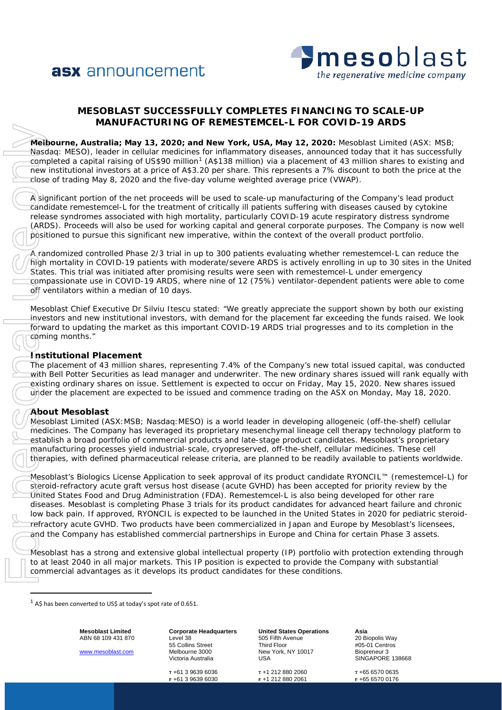



# **MESOBLAST SUCCESSFULLY COMPLETES FINANCING TO SCALE-UP MANUFACTURING OF REMESTEMCEL-L FOR COVID-19 ARDS**

**Melbourne, Australia; May 13, 2020; and New York, USA, May 12, 2020:** Mesoblast Limited (ASX: MSB; Nasdaq: MESO), leader in cellular medicines for inflammatory diseases, announced today that it has successfully completed a capital raising of US\$90 million<sup>[1](#page-0-0)</sup> (A\$138 million) via a placement of 43 million shares to existing and new institutional investors at a price of A\$3.20 per share. This represents a 7% discount to both the price at the close of trading May 8, 2020 and the five-day volume weighted average price (VWAP).

A significant portion of the net proceeds will be used to scale-up manufacturing of the Company's lead product candidate remestemcel-L for the treatment of critically ill patients suffering with diseases caused by cytokine release syndromes associated with high mortality, particularly COVID-19 acute respiratory distress syndrome (ARDS). Proceeds will also be used for working capital and general corporate purposes. The Company is now well positioned to pursue this significant new imperative, within the context of the overall product portfolio.

A randomized controlled Phase 2/3 trial in up to 300 patients evaluating whether remestemcel-L can reduce the high mortality in COVID-19 patients with moderate/severe ARDS is actively enrolling in up to 30 sites in the United States. This trial was initiated after promising results were seen with remestemcel-L under emergency compassionate use in COVID-19 ARDS, where nine of 12 (75%) ventilator-dependent patients were able to come off ventilators within a median of 10 days.

Mesoblast Chief Executive Dr Silviu Itescu stated: "We greatly appreciate the support shown by both our existing investors and new institutional investors, with demand for the placement far exceeding the funds raised. We look forward to updating the market as this important COVID-19 ARDS trial progresses and to its completion in the coming months."

## **Institutional Placement**

The placement of 43 million shares, representing 7.4% of the Company's new total issued capital, was conducted with Bell Potter Securities as lead manager and underwriter. The new ordinary shares issued will rank equally with existing ordinary shares on issue. Settlement is expected to occur on Friday, May 15, 2020. New shares issued under the placement are expected to be issued and commence trading on the ASX on Monday, May 18, 2020.

## **About Mesoblast**

Mesoblast Limited (ASX:MSB; Nasdaq:MESO) is a world leader in developing allogeneic (off-the-shelf) cellular medicines. The Company has leveraged its proprietary mesenchymal lineage cell therapy technology platform to establish a broad portfolio of commercial products and late-stage product candidates. Mesoblast's proprietary manufacturing processes yield industrial-scale, cryopreserved, off-the-shelf, cellular medicines. These cell therapies, with defined pharmaceutical release criteria, are planned to be readily available to patients worldwide.

Mesoblast's Biologics License Application to seek approval of its product candidate RYONCIL™ (remestemcel-L) for steroid-refractory acute graft versus host disease (acute GVHD) has been accepted for priority review by the United States Food and Drug Administration (FDA). Remestemcel-L is also being developed for other rare diseases. Mesoblast is completing Phase 3 trials for its product candidates for advanced heart failure and chronic low back pain. If approved, RYONCIL is expected to be launched in the United States in 2020 for pediatric steroidrefractory acute GVHD. Two products have been commercialized in Japan and Europe by Mesoblast's licensees, and the Company has established commercial partnerships in Europe and China for certain Phase 3 assets.

Mesoblast has a strong and extensive global intellectual property (IP) portfolio with protection extending through to at least 2040 in all major markets. This IP position is expected to provide the Company with substantial commercial advantages as it develops its product candidates for these conditions.

<span id="page-0-0"></span>

**Mesoblast Limited** ABN 68 109 431 870

[www.mesoblast.com](http://www.mesoblast.com/)

**Corporate Headquarters** Level 38 55 Collins Street Melbourne 3000 Victoria Australia

**T** +61 3 9639 6036 **F** +61 3 9639 6030

**United States Operations** 505 Fifth Avenue Third Floor New York, NY 10017 USA

**T** +1 212 880 2060 **F** +1 212 880 2061

**Asia** 20 Biopolis Way #05-01 Centros Biopreneur 3 SINGAPORE 138668

**T** +65 6570 0635 **F** +65 6570 0176